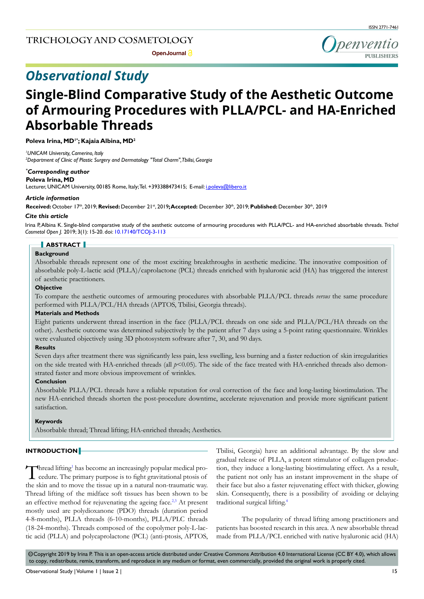

**Open Journal** 

# *Observational Study*

# **Single-Blind Comparative Study of the Aesthetic Outcome of Armouring Procedures with PLLA/PCL- and HA-Enriched Absorbable Threads**

**Poleva Irina, MD1\* ; Kajaia Albina, MD2**

*1 UNICAM University, Camerino, Italy 2 Department of Clinic of Plastic Surgery and Dermatology "Total Charm", Tbilisi, Georgia*

# *\* Corresponding author*

#### **Poleva Irina, MD**

Lecturer, UNICAM University, 00185 Rome, Italy; Tel. +393388473415; E-mail: i.poleva@libero.it

#### *Article information*

**Received:** October 17th, 2019; **Revised:** December 21st, 2019**; Accepted:** December 30th, 2019; **Published:** December 30th, 2019

#### *Cite this article*

Irina P, Albina K. Single-blind comparative study of the aesthetic outcome of armouring procedures with PLLA/PCL- and HA-enriched absorbable threads. *Trichol Cosmetol Open J.* 2019; 3(1): 15-20. doi: [10.17140/TCOJ-3-113](http://dx.doi.org/10.17140/TCOJ-3-113)

# **ABSTRACT**

# **Background**

Absorbable threads represent one of the most exciting breakthroughs in aesthetic medicine. The innovative composition of absorbable poly-L-lactic acid (PLLA)/caprolactone (PCL) threads enriched with hyaluronic acid (HA) has triggered the interest of aesthetic practitioners.

#### **Objective**

To compare the aesthetic outcomes of armouring procedures with absorbable PLLA/PCL threads *versus* the same procedure performed with PLLA/PCL/HA threads (APTOS, Tbilisi, Georgia threads).

# **Materials and Methods**

Eight patients underwent thread insertion in the face (PLLA/PCL threads on one side and PLLA/PCL/HA threads on the other). Aesthetic outcome was determined subjectively by the patient after 7 days using a 5-point rating questionnaire. Wrinkles were evaluated objectively using 3D photosystem software after 7, 30, and 90 days.

# **Results**

Seven days after treatment there was significantly less pain, less swelling, less burning and a faster reduction of skin irregularities on the side treated with HA-enriched threads (all  $p$ <0.05). The side of the face treated with HA-enriched threads also demonstrated faster and more obvious improvement of wrinkles.

# **Conclusion**

Absorbable PLLA/PCL threads have a reliable reputation for oval correction of the face and long-lasting biostimulation. The new HA-enriched threads shorten the post-procedure downtime, accelerate rejuvenation and provide more significant patient satisfaction.

# **Keywords**

Absorbable thread; Thread lifting; HA-enriched threads; Aesthetics.

# **INTRODUCTION**

Thread lifting<sup>1</sup> has become an increasingly popular medical procedure. The primary purpose is to fight gravitational ptosis of  $\Box$  hread lifting<sup>1</sup> has become an increasingly popular medical prothe skin and to move the tissue up in a natural non-traumatic way. Thread lifting of the midface soft tissues has been shown to be an effective method for rejuvenating the ageing face.<sup>2,3</sup> At present mostly used are polydioxanone (PDO) threads (duration period 4-8-months), PLLA threads (6-10-months), PLLA/PLC threads (18-24-months). Threads composed of the copolymer poly-L-lactic acid (PLLA) and polycaprolactone (PCL) (anti-ptosis, APTOS,

Tbilisi, Georgia) have an additional advantage. By the slow and gradual release of PLLA, a potent stimulator of collagen production, they induce a long-lasting biostimulating effect. As a result, the patient not only has an instant improvement in the shape of their face but also a faster rejuvenating effect with thicker, glowing skin. Consequently, there is a possibility of avoiding or delaying traditional surgical lifting.[4](#page-5-2)

The popularity of thread lifting among practitioners and patients has boosted research in this area. A new absorbable thread made from PLLA/PCL enriched with native hyaluronic acid (HA)

 $\circledcirc$ Copyright 2019 by Irina P. This is an open-access article distributed under Creative Commons Attribution 4.0 International License (CC BY 4.0), which allows to copy, redistribute, remix, transform, and reproduce in any medium or format, even commercially, provided the original work is properly cited.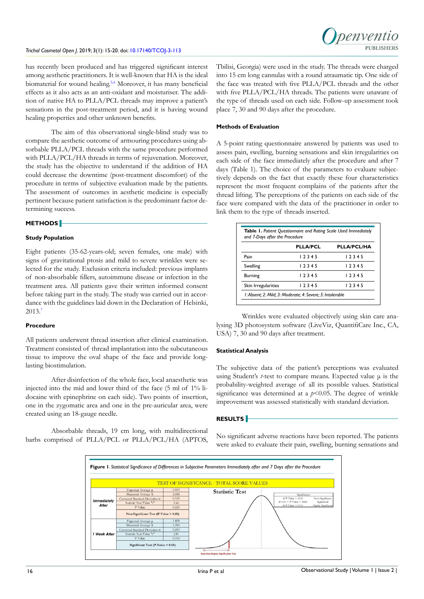

has recently been produced and has triggered significant interest among aesthetic practitioners. It is well-known that HA is the ideal biomaterial for wound healing.<sup>5,6</sup> Moreover, it has many beneficial effects as it also acts as an anti-oxidant and moisturiser. The addition of native HA to PLLA/PCL threads may improve a patient's sensations in the post-treatment period, and it is having wound healing properties and other unknown benefits.

The aim of this observational single-blind study was to compare the aesthetic outcome of armouring procedures using absorbable PLLA/PCL threads with the same procedure performed with PLLA/PCL/HA threads in terms of rejuvenation. Moreover, the study has the objective to understand if the addition of HA could decrease the downtime (post-treatment discomfort) of the procedure in terms of subjective evaluation made by the patients. The assessment of outcomes in aesthetic medicine is especially pertinent because patient satisfaction is the predominant factor determining success.

#### **METHODS**

# **Study Population**

Eight patients (35-62-years-old; seven females, one male) with signs of gravitational ptosis and mild to severe wrinkles were selected for the study. Exclusion criteria included: previous implants of non-absorbable fillers, autoimmune disease or infection in the treatment area. All patients gave their written informed consent before taking part in the study. The study was carried out in accordance with the guidelines laid down in the Declaration of Helsinki, 2013.[7](#page-5-4)

#### **Procedure**

All patients underwent thread insertion after clinical examination. Treatment consisted of thread implantation into the subcutaneous tissue to improve the oval shape of the face and provide longlasting biostimulation.

After disinfection of the whole face, local anaesthetic was injected into the mid and lower third of the face (5 ml of 1% lidocaine with epinephrine on each side). Two points of insertion, one in the zygomatic area and one in the pre-auricular area, were created using an 18-gauge needle.

Absorbable threads, 19 cm long, with multidirectional barbs comprised of PLLA/PCL or PLLA/PCL/HA (APTOS,

Tbilisi, Georgia) were used in the study. The threads were charged into 15 cm long cannulas with a round atraumatic tip. One side of the face was treated with five PLLA/PCL threads and the other with five PLLA/PCL/HA threads. The patients were unaware of the type of threads used on each side. Follow-up assessment took place 7, 30 and 90 days after the procedure.

# **Methods of Evaluation**

A 5-point rating questionnaire answered by patients was used to assess pain, swelling, burning sensations and skin irregularities on each side of the face immediately after the procedure and after 7 days (Table 1). The choice of the parameters to evaluate subjectively depends on the fact that exactly these four characteristics represent the most frequent complains of the patients after the thread lifting. The perceptions of the patients on each side of the face were compared with the data of the practitioner in order to link them to the type of threads inserted.

|                     | <b>PLLA/PCL</b> | PLLA/PCL/HA |
|---------------------|-----------------|-------------|
| Pain                | 12345           | 12345       |
| Swelling            | 12345           | 12345       |
| <b>Burning</b>      | 12345           | 12345       |
| Skin Irregularities | 12345           | 12345       |

Wrinkles were evaluated objectively using skin care analysing 3D photosystem software (LiveViz, QuantifiCare Inc., CA, USA) 7, 30 and 90 days after treatment.

# **Statistical Analysis**

The subjective data of the patient's perceptions was evaluated using Student's *t*-test to compare means. Expected value μ is the probability-weighted average of all its possible values. Statistical significance was determined at a  $p<0.05$ . The degree of wrinkle improvement was assessed statistically with standard deviation.

# **RESULTS**

No significant adverse reactions have been reported. The patients were asked to evaluate their pain, swelling, burning sensations and

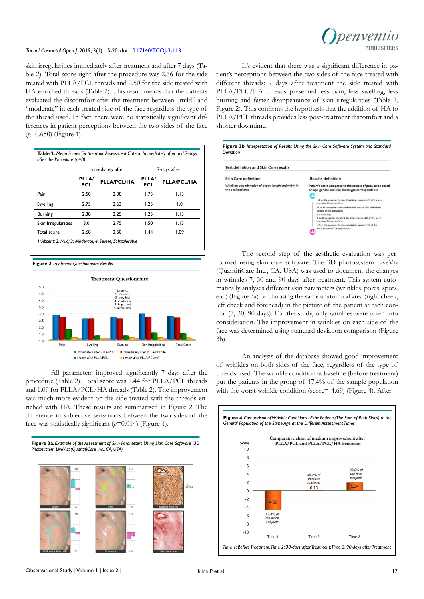# *Trichol Cosmetol Open J*. 2019; 3(1): 15-20. doi: [10.17140/TCOJ-3-113](http://dx.doi.org/10.17140/TCOJ-3-113)

skin irregularities immediately after treatment and after 7 days (Table 2). Total score right after the procedure was 2.66 for the side treated with PLLA/PCL threads and 2.50 for the side treated with HA-enriched threads (Table 2). This result means that the patients evaluated the discomfort after the treatment between "mild" and "moderate" in each treated side of the face regardless the type of the thread used. In fact, there were no statistically significant differences in patient perceptions between the two sides of the face (*p*=0.650) (Figure 1).

|                     | Immediately after |                    | 7-days after        |                    |
|---------------------|-------------------|--------------------|---------------------|--------------------|
|                     | PLLA/<br>PCL      | <b>PLLA/PCL/HA</b> | PLLA/<br><b>PCL</b> | <b>PLLA/PCL/HA</b> |
| Pain                | 2.50              | 2.38               | 1.75                | 1.13               |
| Swelling            | 2.75              | 2.63               | 1.25                | 1.0                |
| <b>Burning</b>      | 2.38              | 2.25               | 1.25                | 1.13               |
| Skin Irregularities | 3.0               | 2.75               | 1.50                | 1.13               |
| Total score         | 2.68              | 2.50               | 1.44                | 1.09               |



All parameters improved significantly 7 days after the procedure (Table 2). Total score was 1.44 for PLLA/PCL threads and 1.09 for PLLA/PCL/HA threads (Table 2). The improvement was much more evident on the side treated with the threads enriched with HA. These results are summarised in Figure 2. The difference in subjective sensations between the two sides of the face was statistically significant (*p*=0.014) (Figure 1).



It's evident that there was a significant difference in patient's perceptions between the two sides of the face treated with different threads: 7 days after treatment the side treated with PLLA/PLC/HA threads presented less pain, less swelling, less burning and faster disappearance of skin irregularities (Table 2, Figure 2). This confirms the hypothesis that the addition of HA to PLLA/PCL threads provides less post-treatment discomfort and a shorter downtime.

| <b>Test definition and Skin Care results</b>                               |                                                                                                                |  |  |  |
|----------------------------------------------------------------------------|----------------------------------------------------------------------------------------------------------------|--|--|--|
|                                                                            |                                                                                                                |  |  |  |
| Wrinkles: a combination of depth, length and width in<br>the analysed area | Patient's score compared to the sample of population based<br>on age, gendre and skin phototype correspondence |  |  |  |
|                                                                            | +10 on the superior standard deviation means 2.5% of the best<br>sample of the population                      |  |  |  |
|                                                                            | +5 on the superior standard deviation means 16% of the best<br>sample of the population                        |  |  |  |
|                                                                            | 0 is the mean<br>-5 on the superior standard deviation means 16% of the worst<br>sample of the population      |  |  |  |
|                                                                            | -10 on the superior standard deviation means 2.5% of the<br>worst sample of the population                     |  |  |  |

The second step of the aesthetic evaluation was performed using skin care software. The 3D photosystem LiveViz (QuantifiCare Inc., CA, USA) was used to document the changes in wrinkles 7, 30 and 90 days after treatment. This system automatically analyses different skin parameters (wrinkles, pores, spots, etc.) (Figure 3a) by choosing the same anatomical area (right cheek, left cheek and forehead) in the picture of the patient at each control (7, 30, 90 days). For the study, only wrinkles were taken into consideration. The improvement in wrinkles on each side of the face was determined using standard deviation comparison (Figure 3b).

An analysis of the database showed good improvement of wrinkles on both sides of the face, regardless of the type of threads used. The wrinkle condition at baseline (before treatment) put the patients in the group of 17.4% of the sample population with the worst wrinkle condition (score=-4.69) (Figure 4). After

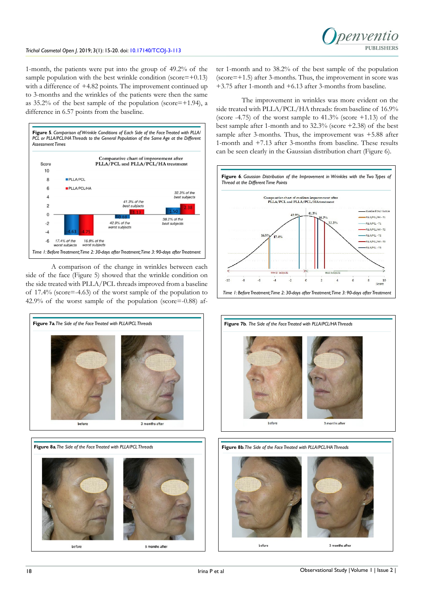1-month, the patients were put into the group of 49.2% of the sample population with the best wrinkle condition (score= $+0.13$ ) with a difference of +4.82 points. The improvement continued up to 3-months and the wrinkles of the patients were then the same as  $35.2\%$  of the best sample of the population (score=+1.94), a difference in 6.57 points from the baseline.



A comparison of the change in wrinkles between each side of the face (Figure 5) showed that the wrinkle condition on the side treated with PLLA/PCL threads improved from a baseline of 17.4% (score=-4.63) of the worst sample of the population to 42.9% of the worst sample of the population (score=-0.88) af-



side treated with PLLA/PCL/HA threads: from baseline of 16.9% (score  $-4.75$ ) of the worst sample to  $41.3\%$  (score  $+1.13$ ) of the

best sample after 1-month and to 32.3% (score +2.38) of the best sample after 3-months. Thus, the improvement was +5.88 after 1-month and +7.13 after 3-months from baseline. These results can be seen clearly in the Gaussian distribution chart (Figure 6). **Figure 6***. Gaussian Distribution of the Improvement in Wrinkles with the Two Types of* 

ter 1-month and to 38.2% of the best sample of the population  $(\text{score} = +1.5)$  after 3-months. Thus, the improvement in score was +3.75 after 1-month and +6.13 after 3-months from baseline.

The improvement in wrinkles was more evident on the







hefore

3 months after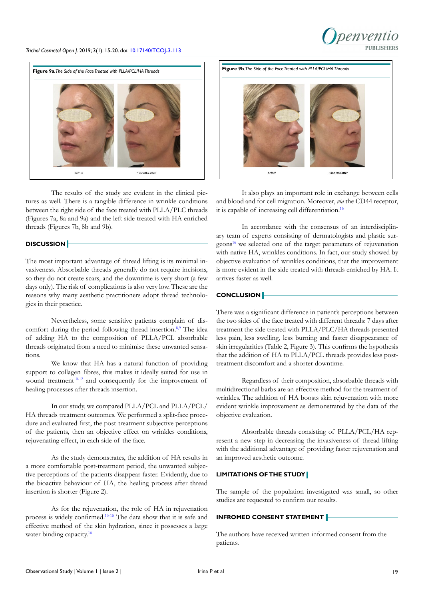# penyentic PURLISHERS

# *Trichol Cosmetol Open J*. 2019; 3(1): 15-20. doi: [10.17140/TCOJ-3-113](http://dx.doi.org/10.17140/TCOJ-3-113)



The results of the study are evident in the clinical pictures as well. There is a tangible difference in wrinkle conditions between the right side of the face treated with PLLA/PLC threads (Figures 7a, 8a and 9a) and the left side treated with HA enriched threads (Figures 7b, 8b and 9b).

# **DISCUSSION**

The most important advantage of thread lifting is its minimal invasiveness. Absorbable threads generally do not require incisions, so they do not create scars, and the downtime is very short (a few days only). The risk of complications is also very low. These are the reasons why many aesthetic practitioners adopt thread technologies in their practice.

Nevertheless, some sensitive patients complain of discomfort during the period following thread insertion.<sup>8,9</sup> The idea of adding HA to the composition of PLLA/PCL absorbable threads originated from a need to minimise these unwanted sensations.

We know that HA has a natural function of providing support to collagen fibres, this makes it ideally suited for use in wound treatment<sup>10-12</sup> and consequently for the improvement of healing processes after threads insertion.

In our study, we compared PLLA/PCL and PLLA/PCL/ HA threads treatment outcomes. We performed a split-face procedure and evaluated first, the post-treatment subjective perceptions of the patients, then an objective effect on wrinkles conditions, rejuvenating effect, in each side of the face.

As the study demonstrates, the addition of HA results in a more comfortable post-treatment period, the unwanted subjective perceptions of the patients disappear faster. Evidently, due to the bioactive behaviour of HA, the healing process after thread insertion is shorter (Figure 2).

As for the rejuvenation, the role of HA in rejuvenation process is widely confirmed.[13-15](#page-5-7) The data show that it is safe and effective method of the skin hydration, since it possesses a large water binding capacity.<sup>[16](#page-5-8)</sup>



It also plays an important role in exchange between cells and blood and for cell migration. Moreover, *via* the CD44 receptor, it is capable of increasing cell differentiation.<sup>16</sup>

In accordance with the consensus of an interdisciplinary team of experts consisting of dermatologists and plastic surgeons<sup>16</sup> we selected one of the target parameters of rejuvenation with native HA, wrinkles conditions. In fact, our study showed by objective evaluation of wrinkles conditions, that the improvement is more evident in the side treated with threads enriched by HA. It arrives faster as well.

# **CONCLUSION**

There was a significant difference in patient's perceptions between the two sides of the face treated with different threads: 7 days after treatment the side treated with PLLA/PLC/HA threads presented less pain, less swelling, less burning and faster disappearance of skin irregularities (Table 2, Figure 3). This confirms the hypothesis that the addition of HA to PLLA/PCL threads provides less posttreatment discomfort and a shorter downtime.

Regardless of their composition, absorbable threads with multidirectional barbs are an effective method for the treatment of wrinkles. The addition of HA boosts skin rejuvenation with more evident wrinkle improvement as demonstrated by the data of the objective evaluation.

Absorbable threads consisting of PLLA/PCL/HA represent a new step in decreasing the invasiveness of thread lifting with the additional advantage of providing faster rejuvenation and an improved aesthetic outcome.

# **LIMITATIONS OF THE STUDY**

The sample of the population investigated was small, so other studies are requested to confirm our results.

# **INFROMED CONSENT STATEMENT**

The authors have received written informed consent from the patients.